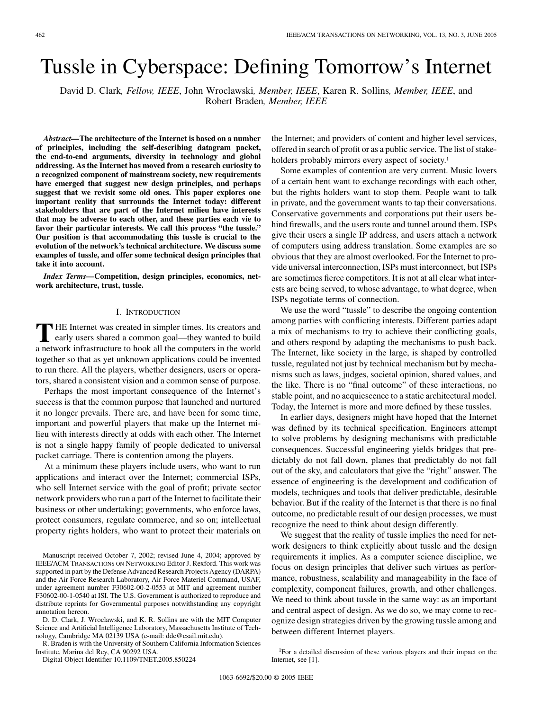# Tussle in Cyberspace: Defining Tomorrow's Internet

David D. Clark*, Fellow, IEEE*, John Wroclawski*, Member, IEEE*, Karen R. Sollins*, Member, IEEE*, and Robert Braden*, Member, IEEE*

*Abstract—***The architecture of the Internet is based on a number of principles, including the self-describing datagram packet, the end-to-end arguments, diversity in technology and global addressing. As the Internet has moved from a research curiosity to a recognized component of mainstream society, new requirements have emerged that suggest new design principles, and perhaps suggest that we revisit some old ones. This paper explores one important reality that surrounds the Internet today: different stakeholders that are part of the Internet milieu have interests that may be adverse to each other, and these parties each vie to favor their particular interests. We call this process "the tussle." Our position is that accommodating this tussle is crucial to the evolution of the network's technical architecture. We discuss some examples of tussle, and offer some technical design principles that take it into account.**

*Index Terms—***Competition, design principles, economics, network architecture, trust, tussle.**

#### I. INTRODUCTION

**T** HE Internet was created in simpler times. Its creators and early users shared a common goal—they wanted to build a network infrastructure to hook all the computers in the world together so that as yet unknown applications could be invented to run there. All the players, whether designers, users or operators, shared a consistent vision and a common sense of purpose.

Perhaps the most important consequence of the Internet's success is that the common purpose that launched and nurtured it no longer prevails. There are, and have been for some time, important and powerful players that make up the Internet milieu with interests directly at odds with each other. The Internet is not a single happy family of people dedicated to universal packet carriage. There is contention among the players.

At a minimum these players include users, who want to run applications and interact over the Internet; commercial ISPs, who sell Internet service with the goal of profit; private sector network providers who run a part of the Internet to facilitate their business or other undertaking; governments, who enforce laws, protect consumers, regulate commerce, and so on; intellectual property rights holders, who want to protect their materials on

D. D. Clark, J. Wroclawski, and K. R. Sollins are with the MIT Computer Science and Artificial Intelligence Laboratory, Massachusetts Institute of Technology, Cambridge MA 02139 USA (e-mail: ddc@csail.mit.edu).

R. Braden is with the University of Southern California Information Sciences Institute, Marina del Rey, CA 90292 USA.

Digital Object Identifier 10.1109/TNET.2005.850224

the Internet; and providers of content and higher level services, offered in search of profit or as a public service. The list of stakeholders probably mirrors every aspect of society.<sup>1</sup>

Some examples of contention are very current. Music lovers of a certain bent want to exchange recordings with each other, but the rights holders want to stop them. People want to talk in private, and the government wants to tap their conversations. Conservative governments and corporations put their users behind firewalls, and the users route and tunnel around them. ISPs give their users a single IP address, and users attach a network of computers using address translation. Some examples are so obvious that they are almost overlooked. For the Internet to provide universal interconnection, ISPs must interconnect, but ISPs are sometimes fierce competitors. It is not at all clear what interests are being served, to whose advantage, to what degree, when ISPs negotiate terms of connection.

We use the word "tussle" to describe the ongoing contention among parties with conflicting interests. Different parties adapt a mix of mechanisms to try to achieve their conflicting goals, and others respond by adapting the mechanisms to push back. The Internet, like society in the large, is shaped by controlled tussle, regulated not just by technical mechanism but by mechanisms such as laws, judges, societal opinion, shared values, and the like. There is no "final outcome" of these interactions, no stable point, and no acquiescence to a static architectural model. Today, the Internet is more and more defined by these tussles.

In earlier days, designers might have hoped that the Internet was defined by its technical specification. Engineers attempt to solve problems by designing mechanisms with predictable consequences. Successful engineering yields bridges that predictably do not fall down, planes that predictably do not fall out of the sky, and calculators that give the "right" answer. The essence of engineering is the development and codification of models, techniques and tools that deliver predictable, desirable behavior. But if the reality of the Internet is that there is no final outcome, no predictable result of our design processes, we must recognize the need to think about design differently.

We suggest that the reality of tussle implies the need for network designers to think explicitly about tussle and the design requirements it implies. As a computer science discipline, we focus on design principles that deliver such virtues as performance, robustness, scalability and manageability in the face of complexity, component failures, growth, and other challenges. We need to think about tussle in the same way: as an important and central aspect of design. As we do so, we may come to recognize design strategies driven by the growing tussle among and between different Internet players.

1For a detailed discussion of these various players and their impact on the Internet, see [[1\]](#page-12-0).

Manuscript received October 7, 2002; revised June 4, 2004; approved by IEEE/ACM TRANSACTIONS ON NETWORKING Editor J. Rexford. This work was supported in part by the Defense Advanced Research Projects Agency (DARPA) and the Air Force Research Laboratory, Air Force Materiel Command, USAF, under agreement number F30602-00-2-0553 at MIT and agreement number F30602-00-1-0540 at ISI. The U.S. Government is authorized to reproduce and distribute reprints for Governmental purposes notwithstanding any copyright annotation hereon.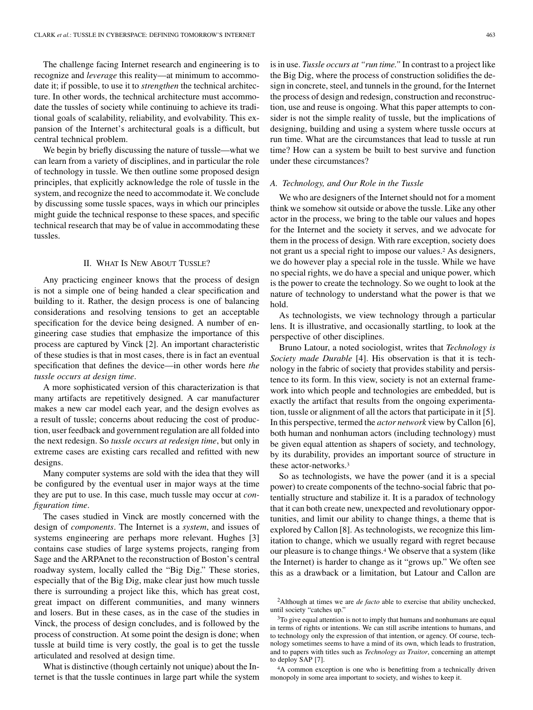The challenge facing Internet research and engineering is to recognize and *leverage* this reality—at minimum to accommodate it; if possible, to use it to *strengthen* the technical architecture. In other words, the technical architecture must accommodate the tussles of society while continuing to achieve its traditional goals of scalability, reliability, and evolvability. This expansion of the Internet's architectural goals is a difficult, but central technical problem.

We begin by briefly discussing the nature of tussle—what we can learn from a variety of disciplines, and in particular the role of technology in tussle. We then outline some proposed design principles, that explicitly acknowledge the role of tussle in the system, and recognize the need to accommodate it. We conclude by discussing some tussle spaces, ways in which our principles might guide the technical response to these spaces, and specific technical research that may be of value in accommodating these tussles.

#### II. WHAT IS NEW ABOUT TUSSLE?

Any practicing engineer knows that the process of design is not a simple one of being handed a clear specification and building to it. Rather, the design process is one of balancing considerations and resolving tensions to get an acceptable specification for the device being designed. A number of engineering case studies that emphasize the importance of this process are captured by Vinck [[2\]](#page-12-0). An important characteristic of these studies is that in most cases, there is in fact an eventual specification that defines the device—in other words here *the tussle occurs at design time*.

A more sophisticated version of this characterization is that many artifacts are repetitively designed. A car manufacturer makes a new car model each year, and the design evolves as a result of tussle; concerns about reducing the cost of production, user feedback and government regulation are all folded into the next redesign. So *tussle occurs at redesign time*, but only in extreme cases are existing cars recalled and refitted with new designs.

Many computer systems are sold with the idea that they will be configured by the eventual user in major ways at the time they are put to use. In this case, much tussle may occur at *configuration time*.

The cases studied in Vinck are mostly concerned with the design of *components*. The Internet is a *system*, and issues of systems engineering are perhaps more relevant. Hughes [[3\]](#page-12-0) contains case studies of large systems projects, ranging from Sage and the ARPAnet to the reconstruction of Boston's central roadway system, locally called the "Big Dig." These stories, especially that of the Big Dig, make clear just how much tussle there is surrounding a project like this, which has great cost, great impact on different communities, and many winners and losers. But in these cases, as in the case of the studies in Vinck, the process of design concludes, and is followed by the process of construction. At some point the design is done; when tussle at build time is very costly, the goal is to get the tussle articulated and resolved at design time.

What is distinctive (though certainly not unique) about the Internet is that the tussle continues in large part while the system is in use. *Tussle occurs at "run time."* In contrast to a project like the Big Dig, where the process of construction solidifies the design in concrete, steel, and tunnels in the ground, for the Internet the process of design and redesign, construction and reconstruction, use and reuse is ongoing. What this paper attempts to consider is not the simple reality of tussle, but the implications of designing, building and using a system where tussle occurs at run time. What are the circumstances that lead to tussle at run time? How can a system be built to best survive and function under these circumstances?

## *A. Technology, and Our Role in the Tussle*

We who are designers of the Internet should not for a moment think we somehow sit outside or above the tussle. Like any other actor in the process, we bring to the table our values and hopes for the Internet and the society it serves, and we advocate for them in the process of design. With rare exception, society does not grant us a special right to impose our values.2 As designers, we do however play a special role in the tussle. While we have no special rights, we do have a special and unique power, which is the power to create the technology. So we ought to look at the nature of technology to understand what the power is that we hold.

As technologists, we view technology through a particular lens. It is illustrative, and occasionally startling, to look at the perspective of other disciplines.

Bruno Latour, a noted sociologist, writes that *Technology is Society made Durable* [[4\]](#page-12-0). His observation is that it is technology in the fabric of society that provides stability and persistence to its form. In this view, society is not an external framework into which people and technologies are embedded, but is exactly the artifact that results from the ongoing experimentation, tussle or alignment of all the actors that participate in it [\[5](#page-12-0)]. In this perspective, termed the *actor network* view by Callon [\[6](#page-12-0)], both human and nonhuman actors (including technology) must be given equal attention as shapers of society, and technology, by its durability, provides an important source of structure in these actor-networks.3

So as technologists, we have the power (and it is a special power) to create components of the techno-social fabric that potentially structure and stabilize it. It is a paradox of technology that it can both create new, unexpected and revolutionary opportunities, and limit our ability to change things, a theme that is explored by Callon [[8\]](#page-12-0). As technologists, we recognize this limitation to change, which we usually regard with regret because our pleasure is to change things.4 We observe that a system (like the Internet) is harder to change as it "grows up." We often see this as a drawback or a limitation, but Latour and Callon are

4A common exception is one who is benefitting from a technically driven monopoly in some area important to society, and wishes to keep it.

<sup>2</sup>Although at times we are *de facto* able to exercise that ability unchecked, until society "catches up."

<sup>&</sup>lt;sup>3</sup>To give equal attention is not to imply that humans and nonhumans are equal in terms of rights or intentions. We can still ascribe intentions to humans, and to technology only the expression of that intention, or agency. Of course, technology sometimes seems to have a mind of its own, which leads to frustration, and to papers with titles such as *Technology as Traitor*, concerning an attempt to deploy SAP [\[7](#page-12-0)].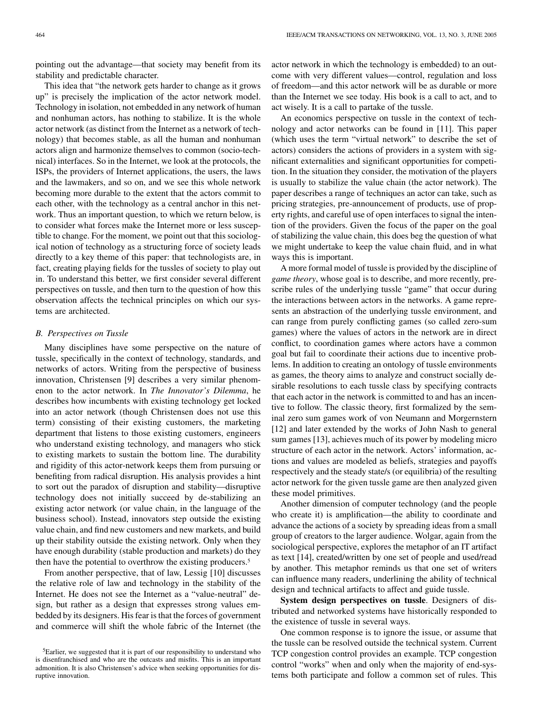pointing out the advantage—that society may benefit from its stability and predictable character.

This idea that "the network gets harder to change as it grows up" is precisely the implication of the actor network model. Technology in isolation, not embedded in any network of human and nonhuman actors, has nothing to stabilize. It is the whole actor network (as distinct from the Internet as a network of technology) that becomes stable, as all the human and nonhuman actors align and harmonize themselves to common (socio-technical) interfaces. So in the Internet, we look at the protocols, the ISPs, the providers of Internet applications, the users, the laws and the lawmakers, and so on, and we see this whole network becoming more durable to the extent that the actors commit to each other, with the technology as a central anchor in this network. Thus an important question, to which we return below, is to consider what forces make the Internet more or less susceptible to change. For the moment, we point out that this sociological notion of technology as a structuring force of society leads directly to a key theme of this paper: that technologists are, in fact, creating playing fields for the tussles of society to play out in. To understand this better, we first consider several different perspectives on tussle, and then turn to the question of how this observation affects the technical principles on which our systems are architected.

## *B. Perspectives on Tussle*

Many disciplines have some perspective on the nature of tussle, specifically in the context of technology, standards, and networks of actors. Writing from the perspective of business innovation, Christensen [[9\]](#page-12-0) describes a very similar phenomenon to the actor network. In *The Innovator's Dilemma*, he describes how incumbents with existing technology get locked into an actor network (though Christensen does not use this term) consisting of their existing customers, the marketing department that listens to those existing customers, engineers who understand existing technology, and managers who stick to existing markets to sustain the bottom line. The durability and rigidity of this actor-network keeps them from pursuing or benefiting from radical disruption. His analysis provides a hint to sort out the paradox of disruption and stability—disruptive technology does not initially succeed by de-stabilizing an existing actor network (or value chain, in the language of the business school). Instead, innovators step outside the existing value chain, and find new customers and new markets, and build up their stability outside the existing network. Only when they have enough durability (stable production and markets) do they then have the potential to overthrow the existing producers.5

From another perspective, that of law, Lessig [\[10](#page-12-0)] discusses the relative role of law and technology in the stability of the Internet. He does not see the Internet as a "value-neutral" design, but rather as a design that expresses strong values embedded by its designers. His fear is that the forces of government and commerce will shift the whole fabric of the Internet (the actor network in which the technology is embedded) to an outcome with very different values—control, regulation and loss of freedom—and this actor network will be as durable or more than the Internet we see today. His book is a call to act, and to act wisely. It is a call to partake of the tussle.

An economics perspective on tussle in the context of technology and actor networks can be found in [\[11](#page-12-0)]. This paper (which uses the term "virtual network" to describe the set of actors) considers the actions of providers in a system with significant externalities and significant opportunities for competition. In the situation they consider, the motivation of the players is usually to stabilize the value chain (the actor network). The paper describes a range of techniques an actor can take, such as pricing strategies, pre-announcement of products, use of property rights, and careful use of open interfaces to signal the intention of the providers. Given the focus of the paper on the goal of stabilizing the value chain, this does beg the question of what we might undertake to keep the value chain fluid, and in what ways this is important.

A more formal model of tussle is provided by the discipline of *game theory*, whose goal is to describe, and more recently, prescribe rules of the underlying tussle "game" that occur during the interactions between actors in the networks. A game represents an abstraction of the underlying tussle environment, and can range from purely conflicting games (so called zero-sum games) where the values of actors in the network are in direct conflict, to coordination games where actors have a common goal but fail to coordinate their actions due to incentive problems. In addition to creating an ontology of tussle environments as games, the theory aims to analyze and construct socially desirable resolutions to each tussle class by specifying contracts that each actor in the network is committed to and has an incentive to follow. The classic theory, first formalized by the seminal zero sum games work of von Neumann and Morgernstern [[12\]](#page-12-0) and later extended by the works of John Nash to general sum games [\[13](#page-12-0)], achieves much of its power by modeling micro structure of each actor in the network. Actors' information, actions and values are modeled as beliefs, strategies and payoffs respectively and the steady state/s (or equilibria) of the resulting actor network for the given tussle game are then analyzed given these model primitives.

Another dimension of computer technology (and the people who create it) is amplification—the ability to coordinate and advance the actions of a society by spreading ideas from a small group of creators to the larger audience. Wolgar, again from the sociological perspective, explores the metaphor of an IT artifact as text [\[14](#page-12-0)], created/written by one set of people and used/read by another. This metaphor reminds us that one set of writers can influence many readers, underlining the ability of technical design and technical artifacts to affect and guide tussle.

**System design perspectives on tussle**. Designers of distributed and networked systems have historically responded to the existence of tussle in several ways.

One common response is to ignore the issue, or assume that the tussle can be resolved outside the technical system. Current TCP congestion control provides an example. TCP congestion control "works" when and only when the majority of end-systems both participate and follow a common set of rules. This

<sup>5</sup>Earlier, we suggested that it is part of our responsibility to understand who is disenfranchised and who are the outcasts and misfits. This is an important admonition. It is also Christensen's advice when seeking opportunities for disruptive innovation.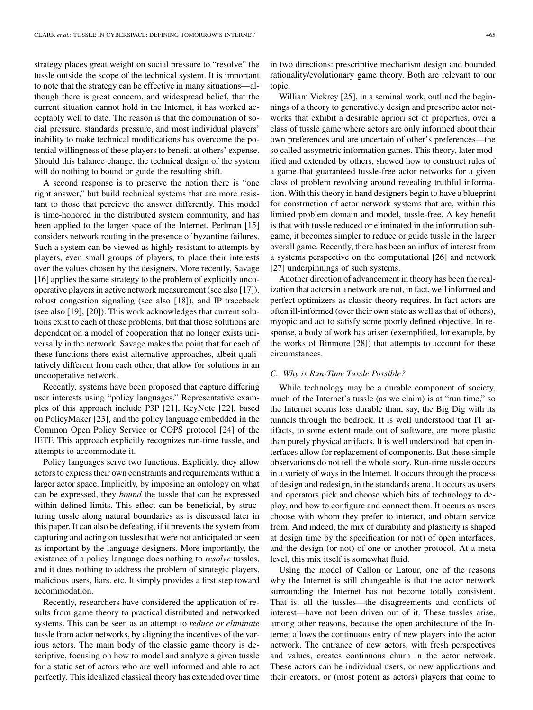strategy places great weight on social pressure to "resolve" the tussle outside the scope of the technical system. It is important to note that the strategy can be effective in many situations—although there is great concern, and widespread belief, that the current situation cannot hold in the Internet, it has worked acceptably well to date. The reason is that the combination of social pressure, standards pressure, and most individual players' inability to make technical modifications has overcome the potential willingness of these players to benefit at others' expense. Should this balance change, the technical design of the system will do nothing to bound or guide the resulting shift.

A second response is to preserve the notion there is "one right answer," but build technical systems that are more resistant to those that percieve the answer differently. This model is time-honored in the distributed system community, and has been applied to the larger space of the Internet. Perlman [[15\]](#page-12-0) considers network routing in the presence of byzantine failures. Such a system can be viewed as highly resistant to attempts by players, even small groups of players, to place their interests over the values chosen by the designers. More recently, Savage [\[16](#page-12-0)] applies the same strategy to the problem of explicitly uncooperative players in active network measurement (see also [\[17](#page-12-0)]), robust congestion signaling (see also [\[18](#page-12-0)]), and IP traceback (see also [\[19\]](#page-12-0), [\[20](#page-12-0)]). This work acknowledges that current solutions exist to each of these problems, but that those solutions are dependent on a model of cooperation that no longer exists universally in the network. Savage makes the point that for each of these functions there exist alternative approaches, albeit qualitatively different from each other, that allow for solutions in an uncooperative network.

Recently, systems have been proposed that capture differing user interests using "policy languages." Representative examples of this approach include P3P [[21\]](#page-12-0), KeyNote [[22\]](#page-12-0), based on PolicyMaker [[23\]](#page-12-0), and the policy language embedded in the Common Open Policy Service or COPS protocol [[24\]](#page-12-0) of the IETF. This approach explicitly recognizes run-time tussle, and attempts to accommodate it.

Policy languages serve two functions. Explicitly, they allow actors to express their own constraints and requirements within a larger actor space. Implicitly, by imposing an ontology on what can be expressed, they *bound* the tussle that can be expressed within defined limits. This effect can be beneficial, by structuring tussle along natural boundaries as is discussed later in this paper. It can also be defeating, if it prevents the system from capturing and acting on tussles that were not anticipated or seen as important by the language designers. More importantly, the existance of a policy language does nothing to *resolve* tussles, and it does nothing to address the problem of strategic players, malicious users, liars. etc. It simply provides a first step toward accommodation.

Recently, researchers have considered the application of results from game theory to practical distributed and networked systems. This can be seen as an attempt to *reduce or eliminate* tussle from actor networks, by aligning the incentives of the various actors. The main body of the classic game theory is descriptive, focusing on how to model and analyze a given tussle for a static set of actors who are well informed and able to act perfectly. This idealized classical theory has extended over time

in two directions: prescriptive mechanism design and bounded rationality/evolutionary game theory. Both are relevant to our topic.

William Vickrey [[25\]](#page-12-0), in a seminal work, outlined the beginnings of a theory to generatively design and prescribe actor networks that exhibit a desirable apriori set of properties, over a class of tussle game where actors are only informed about their own preferences and are uncertain of other's preferences—the so called assymetric information games. This theory, later modified and extended by others, showed how to construct rules of a game that guaranteed tussle-free actor networks for a given class of problem revolving around revealing truthful information. With this theory in hand designers begin to have a blueprint for construction of actor network systems that are, within this limited problem domain and model, tussle-free. A key benefit is that with tussle reduced or eliminated in the information subgame, it becomes simpler to reduce or guide tussle in the larger overall game. Recently, there has been an influx of interest from a systems perspective on the computational [\[26](#page-12-0)] and network [\[27](#page-12-0)] underpinnings of such systems.

Another direction of advancement in theory has been the realization that actors in a network are not, in fact, well informed and perfect optimizers as classic theory requires. In fact actors are often ill-informed (over their own state as well as that of others), myopic and act to satisfy some poorly defined objective. In response, a body of work has arisen (exemplified, for example, by the works of Binmore [[28\]](#page-12-0)) that attempts to account for these circumstances.

# *C. Why is Run-Time Tussle Possible?*

While technology may be a durable component of society, much of the Internet's tussle (as we claim) is at "run time," so the Internet seems less durable than, say, the Big Dig with its tunnels through the bedrock. It is well understood that IT artifacts, to some extent made out of software, are more plastic than purely physical artifacts. It is well understood that open interfaces allow for replacement of components. But these simple observations do not tell the whole story. Run-time tussle occurs in a variety of ways in the Internet. It occurs through the process of design and redesign, in the standards arena. It occurs as users and operators pick and choose which bits of technology to deploy, and how to configure and connect them. It occurs as users choose with whom they prefer to interact, and obtain service from. And indeed, the mix of durability and plasticity is shaped at design time by the specification (or not) of open interfaces, and the design (or not) of one or another protocol. At a meta level, this mix itself is somewhat fluid.

Using the model of Callon or Latour, one of the reasons why the Internet is still changeable is that the actor network surrounding the Internet has not become totally consistent. That is, all the tussles—the disagreements and conflicts of interest—have not been driven out of it. These tussles arise, among other reasons, because the open architecture of the Internet allows the continuous entry of new players into the actor network. The entrance of new actors, with fresh perspectives and values, creates continuous churn in the actor network. These actors can be individual users, or new applications and their creators, or (most potent as actors) players that come to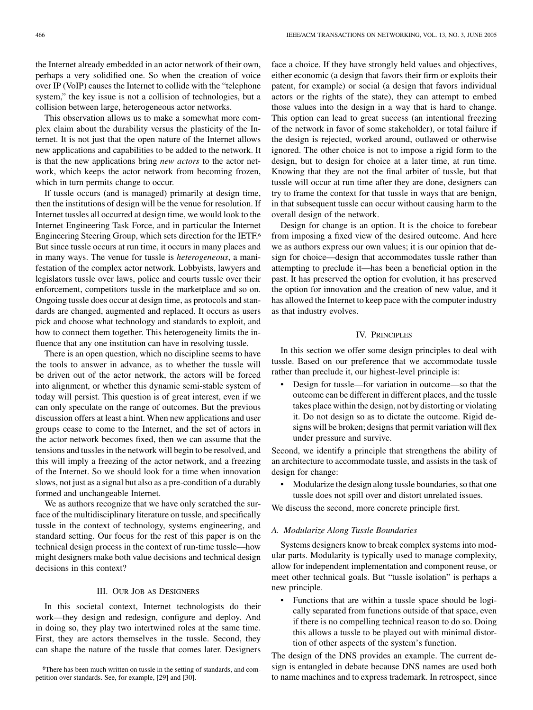the Internet already embedded in an actor network of their own, perhaps a very solidified one. So when the creation of voice over IP (VoIP) causes the Internet to collide with the "telephone system," the key issue is not a collision of technologies, but a collision between large, heterogeneous actor networks.

This observation allows us to make a somewhat more complex claim about the durability versus the plasticity of the Internet. It is not just that the open nature of the Internet allows new applications and capabilities to be added to the network. It is that the new applications bring *new actors* to the actor network, which keeps the actor network from becoming frozen, which in turn permits change to occur.

If tussle occurs (and is managed) primarily at design time, then the institutions of design will be the venue for resolution. If Internet tussles all occurred at design time, we would look to the Internet Engineering Task Force, and in particular the Internet Engineering Steering Group, which sets direction for the IETF.6 But since tussle occurs at run time, it occurs in many places and in many ways. The venue for tussle is *heterogeneous*, a manifestation of the complex actor network. Lobbyists, lawyers and legislators tussle over laws, police and courts tussle over their enforcement, competitors tussle in the marketplace and so on. Ongoing tussle does occur at design time, as protocols and standards are changed, augmented and replaced. It occurs as users pick and choose what technology and standards to exploit, and how to connect them together. This heterogeneity limits the influence that any one institution can have in resolving tussle.

There is an open question, which no discipline seems to have the tools to answer in advance, as to whether the tussle will be driven out of the actor network, the actors will be forced into alignment, or whether this dynamic semi-stable system of today will persist. This question is of great interest, even if we can only speculate on the range of outcomes. But the previous discussion offers at least a hint. When new applications and user groups cease to come to the Internet, and the set of actors in the actor network becomes fixed, then we can assume that the tensions and tussles in the network will begin to be resolved, and this will imply a freezing of the actor network, and a freezing of the Internet. So we should look for a time when innovation slows, not just as a signal but also as a pre-condition of a durably formed and unchangeable Internet.

We as authors recognize that we have only scratched the surface of the multidisciplinary literature on tussle, and specifically tussle in the context of technology, systems engineering, and standard setting. Our focus for the rest of this paper is on the technical design process in the context of run-time tussle—how might designers make both value decisions and technical design decisions in this context?

## III. OUR JOB AS DESIGNERS

In this societal context, Internet technologists do their work—they design and redesign, configure and deploy. And in doing so, they play two intertwined roles at the same time. First, they are actors themselves in the tussle. Second, they can shape the nature of the tussle that comes later. Designers

face a choice. If they have strongly held values and objectives, either economic (a design that favors their firm or exploits their patent, for example) or social (a design that favors individual actors or the rights of the state), they can attempt to embed those values into the design in a way that is hard to change. This option can lead to great success (an intentional freezing of the network in favor of some stakeholder), or total failure if the design is rejected, worked around, outlawed or otherwise ignored. The other choice is not to impose a rigid form to the design, but to design for choice at a later time, at run time. Knowing that they are not the final arbiter of tussle, but that tussle will occur at run time after they are done, designers can try to frame the context for that tussle in ways that are benign, in that subsequent tussle can occur without causing harm to the overall design of the network.

Design for change is an option. It is the choice to forebear from imposing a fixed view of the desired outcome. And here we as authors express our own values; it is our opinion that design for choice—design that accommodates tussle rather than attempting to preclude it—has been a beneficial option in the past. It has preserved the option for evolution, it has preserved the option for innovation and the creation of new value, and it has allowed the Internet to keep pace with the computer industry as that industry evolves.

## IV. PRINCIPLES

In this section we offer some design principles to deal with tussle. Based on our preference that we accommodate tussle rather than preclude it, our highest-level principle is:

• Design for tussle—for variation in outcome—so that the outcome can be different in different places, and the tussle takes place within the design, not by distorting or violating it. Do not design so as to dictate the outcome. Rigid designs will be broken; designs that permit variation will flex under pressure and survive.

Second, we identify a principle that strengthens the ability of an architecture to accommodate tussle, and assists in the task of design for change:

• Modularize the design along tussle boundaries, so that one tussle does not spill over and distort unrelated issues.

We discuss the second, more concrete principle first.

### *A. Modularize Along Tussle Boundaries*

Systems designers know to break complex systems into modular parts. Modularity is typically used to manage complexity, allow for independent implementation and component reuse, or meet other technical goals. But "tussle isolation" is perhaps a new principle.

• Functions that are within a tussle space should be logically separated from functions outside of that space, even if there is no compelling technical reason to do so. Doing this allows a tussle to be played out with minimal distortion of other aspects of the system's function.

The design of the DNS provides an example. The current design is entangled in debate because DNS names are used both to name machines and to express trademark. In retrospect, since

<sup>6</sup>There has been much written on tussle in the setting of standards, and competition over standards. See, for example, [\[29](#page-12-0)] and [\[30](#page-12-0)].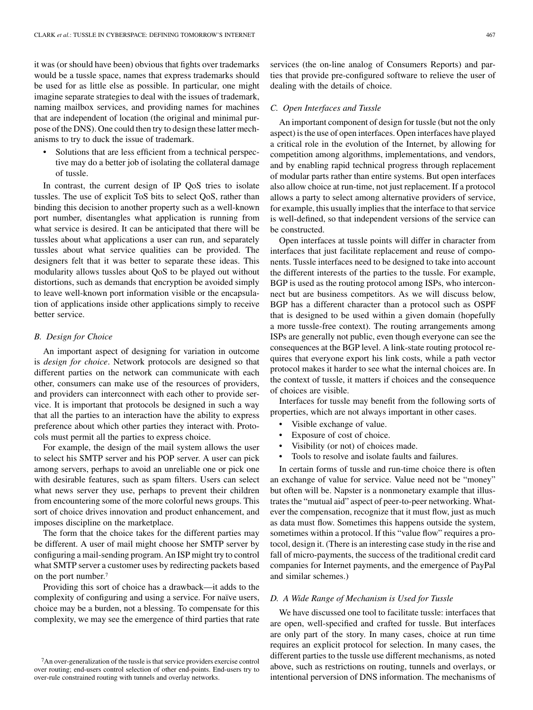it was (or should have been) obvious that fights over trademarks would be a tussle space, names that express trademarks should be used for as little else as possible. In particular, one might imagine separate strategies to deal with the issues of trademark, naming mailbox services, and providing names for machines that are independent of location (the original and minimal purpose of the DNS). One could then try to design these latter mechanisms to try to duck the issue of trademark.

Solutions that are less efficient from a technical perspective may do a better job of isolating the collateral damage of tussle.

In contrast, the current design of IP QoS tries to isolate tussles. The use of explicit ToS bits to select QoS, rather than binding this decision to another property such as a well-known port number, disentangles what application is running from what service is desired. It can be anticipated that there will be tussles about what applications a user can run, and separately tussles about what service qualities can be provided. The designers felt that it was better to separate these ideas. This modularity allows tussles about QoS to be played out without distortions, such as demands that encryption be avoided simply to leave well-known port information visible or the encapsulation of applications inside other applications simply to receive better service.

## *B. Design for Choice*

An important aspect of designing for variation in outcome is *design for choice*. Network protocols are designed so that different parties on the network can communicate with each other, consumers can make use of the resources of providers, and providers can interconnect with each other to provide service. It is important that protocols be designed in such a way that all the parties to an interaction have the ability to express preference about which other parties they interact with. Protocols must permit all the parties to express choice.

For example, the design of the mail system allows the user to select his SMTP server and his POP server. A user can pick among servers, perhaps to avoid an unreliable one or pick one with desirable features, such as spam filters. Users can select what news server they use, perhaps to prevent their children from encountering some of the more colorful news groups. This sort of choice drives innovation and product enhancement, and imposes discipline on the marketplace.

The form that the choice takes for the different parties may be different. A user of mail might choose her SMTP server by configuring a mail-sending program. An ISP might try to control what SMTP server a customer uses by redirecting packets based on the port number.7

Providing this sort of choice has a drawback—it adds to the complexity of configuring and using a service. For naïve users, choice may be a burden, not a blessing. To compensate for this complexity, we may see the emergence of third parties that rate services (the on-line analog of Consumers Reports) and parties that provide pre-configured software to relieve the user of dealing with the details of choice.

#### *C. Open Interfaces and Tussle*

An important component of design for tussle (but not the only aspect) is the use of open interfaces. Open interfaces have played a critical role in the evolution of the Internet, by allowing for competition among algorithms, implementations, and vendors, and by enabling rapid technical progress through replacement of modular parts rather than entire systems. But open interfaces also allow choice at run-time, not just replacement. If a protocol allows a party to select among alternative providers of service, for example, this usually implies that the interface to that service is well-defined, so that independent versions of the service can be constructed.

Open interfaces at tussle points will differ in character from interfaces that just facilitate replacement and reuse of components. Tussle interfaces need to be designed to take into account the different interests of the parties to the tussle. For example, BGP is used as the routing protocol among ISPs, who interconnect but are business competitors. As we will discuss below, BGP has a different character than a protocol such as OSPF that is designed to be used within a given domain (hopefully a more tussle-free context). The routing arrangements among ISPs are generally not public, even though everyone can see the consequences at the BGP level. A link-state routing protocol requires that everyone export his link costs, while a path vector protocol makes it harder to see what the internal choices are. In the context of tussle, it matters if choices and the consequence of choices are visible.

Interfaces for tussle may benefit from the following sorts of properties, which are not always important in other cases.

- Visible exchange of value.
- Exposure of cost of choice.
- Visibility (or not) of choices made.
- Tools to resolve and isolate faults and failures.

In certain forms of tussle and run-time choice there is often an exchange of value for service. Value need not be "money" but often will be. Napster is a nonmonetary example that illustrates the "mutual aid" aspect of peer-to-peer networking. Whatever the compensation, recognize that it must flow, just as much as data must flow. Sometimes this happens outside the system, sometimes within a protocol. If this "value flow" requires a protocol, design it. (There is an interesting case study in the rise and fall of micro-payments, the success of the traditional credit card companies for Internet payments, and the emergence of PayPal and similar schemes.)

#### *D. A Wide Range of Mechanism is Used for Tussle*

We have discussed one tool to facilitate tussle: interfaces that are open, well-specified and crafted for tussle. But interfaces are only part of the story. In many cases, choice at run time requires an explicit protocol for selection. In many cases, the different parties to the tussle use different mechanisms, as noted above, such as restrictions on routing, tunnels and overlays, or intentional perversion of DNS information. The mechanisms of

<sup>&</sup>lt;sup>7</sup>An over-generalization of the tussle is that service providers exercise control over routing; end-users control selection of other end-points. End-users try to over-rule constrained routing with tunnels and overlay networks.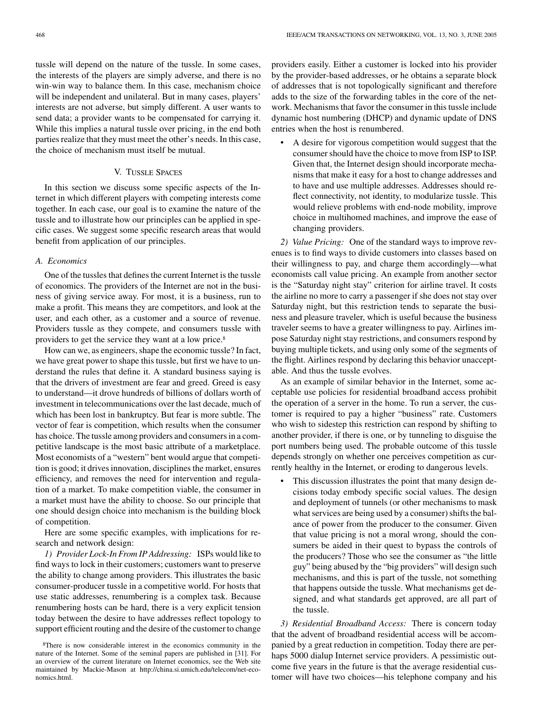tussle will depend on the nature of the tussle. In some cases, the interests of the players are simply adverse, and there is no win-win way to balance them. In this case, mechanism choice will be independent and unilateral. But in many cases, players' interests are not adverse, but simply different. A user wants to send data; a provider wants to be compensated for carrying it. While this implies a natural tussle over pricing, in the end both parties realize that they must meet the other's needs. In this case, the choice of mechanism must itself be mutual.

## V. TUSSLE SPACES

In this section we discuss some specific aspects of the Internet in which different players with competing interests come together. In each case, our goal is to examine the nature of the tussle and to illustrate how our principles can be applied in specific cases. We suggest some specific research areas that would benefit from application of our principles.

## *A. Economics*

One of the tussles that defines the current Internet is the tussle of economics. The providers of the Internet are not in the business of giving service away. For most, it is a business, run to make a profit. This means they are competitors, and look at the user, and each other, as a customer and a source of revenue. Providers tussle as they compete, and consumers tussle with providers to get the service they want at a low price.8

How can we, as engineers, shape the economic tussle? In fact, we have great power to shape this tussle, but first we have to understand the rules that define it. A standard business saying is that the drivers of investment are fear and greed. Greed is easy to understand—it drove hundreds of billions of dollars worth of investment in telecommunications over the last decade, much of which has been lost in bankruptcy. But fear is more subtle. The vector of fear is competition, which results when the consumer has choice. The tussle among providers and consumers in a competitive landscape is the most basic attribute of a marketplace. Most economists of a "western" bent would argue that competition is good; it drives innovation, disciplines the market, ensures efficiency, and removes the need for intervention and regulation of a market. To make competition viable, the consumer in a market must have the ability to choose. So our principle that one should design choice into mechanism is the building block of competition.

Here are some specific examples, with implications for research and network design:

*1) Provider Lock-In From IP Addressing:* ISPs would like to find ways to lock in their customers; customers want to preserve the ability to change among providers. This illustrates the basic consumer-producer tussle in a competitive world. For hosts that use static addresses, renumbering is a complex task. Because renumbering hosts can be hard, there is a very explicit tension today between the desire to have addresses reflect topology to support efficient routing and the desire of the customer to change providers easily. Either a customer is locked into his provider by the provider-based addresses, or he obtains a separate block of addresses that is not topologically significant and therefore adds to the size of the forwarding tables in the core of the network. Mechanisms that favor the consumer in this tussle include dynamic host numbering (DHCP) and dynamic update of DNS entries when the host is renumbered.

• A desire for vigorous competition would suggest that the consumer should have the choice to move from ISP to ISP. Given that, the Internet design should incorporate mechanisms that make it easy for a host to change addresses and to have and use multiple addresses. Addresses should reflect connectivity, not identity, to modularize tussle. This would relieve problems with end-node mobility, improve choice in multihomed machines, and improve the ease of changing providers.

*2) Value Pricing:* One of the standard ways to improve revenues is to find ways to divide customers into classes based on their willingness to pay, and charge them accordingly—what economists call value pricing. An example from another sector is the "Saturday night stay" criterion for airline travel. It costs the airline no more to carry a passenger if she does not stay over Saturday night, but this restriction tends to separate the business and pleasure traveler, which is useful because the business traveler seems to have a greater willingness to pay. Airlines impose Saturday night stay restrictions, and consumers respond by buying multiple tickets, and using only some of the segments of the flight. Airlines respond by declaring this behavior unacceptable. And thus the tussle evolves.

As an example of similar behavior in the Internet, some acceptable use policies for residential broadband access prohibit the operation of a server in the home. To run a server, the customer is required to pay a higher "business" rate. Customers who wish to sidestep this restriction can respond by shifting to another provider, if there is one, or by tunneling to disguise the port numbers being used. The probable outcome of this tussle depends strongly on whether one perceives competition as currently healthy in the Internet, or eroding to dangerous levels.

This discussion illustrates the point that many design decisions today embody specific social values. The design and deployment of tunnels (or other mechanisms to mask what services are being used by a consumer) shifts the balance of power from the producer to the consumer. Given that value pricing is not a moral wrong, should the consumers be aided in their quest to bypass the controls of the producers? Those who see the consumer as "the little guy" being abused by the "big providers" will design such mechanisms, and this is part of the tussle, not something that happens outside the tussle. What mechanisms get designed, and what standards get approved, are all part of the tussle.

*3) Residential Broadband Access:* There is concern today that the advent of broadband residential access will be accompanied by a great reduction in competition. Today there are perhaps 5000 dialup Internet service providers. A pessimistic outcome five years in the future is that the average residential customer will have two choices—his telephone company and his

<sup>8</sup>There is now considerable interest in the economics community in the nature of the Internet. Some of the seminal papers are published in [\[31](#page-12-0)]. For an overview of the current literature on Internet economics, see the Web site maintained by Mackie-Mason at http://china.si.umich.edu/telecom/net-economics.html.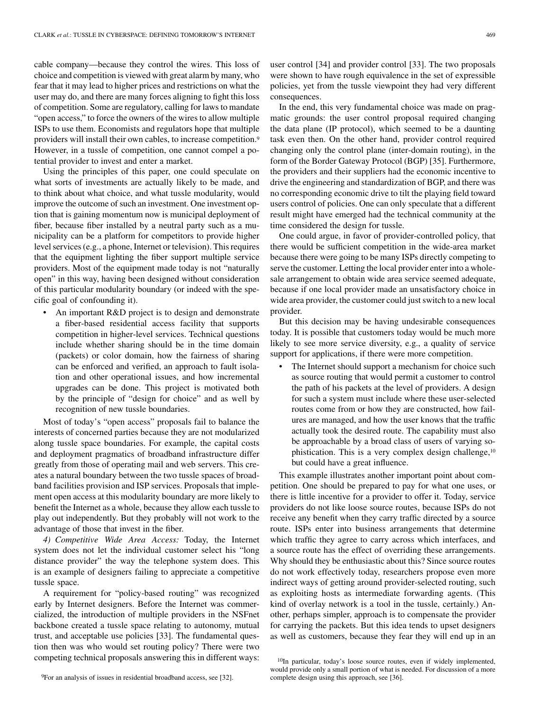cable company—because they control the wires. This loss of choice and competition is viewed with great alarm by many, who fear that it may lead to higher prices and restrictions on what the user may do, and there are many forces aligning to fight this loss of competition. Some are regulatory, calling for laws to mandate "open access," to force the owners of the wires to allow multiple ISPs to use them. Economists and regulators hope that multiple providers will install their own cables, to increase competition.9 However, in a tussle of competition, one cannot compel a potential provider to invest and enter a market.

Using the principles of this paper, one could speculate on what sorts of investments are actually likely to be made, and to think about what choice, and what tussle modularity, would improve the outcome of such an investment. One investment option that is gaining momentum now is municipal deployment of fiber, because fiber installed by a neutral party such as a municipality can be a platform for competitors to provide higher level services (e.g., a phone, Internet or television). This requires that the equipment lighting the fiber support multiple service providers. Most of the equipment made today is not "naturally open" in this way, having been designed without consideration of this particular modularity boundary (or indeed with the specific goal of confounding it).

An important R&D project is to design and demonstrate a fiber-based residential access facility that supports competition in higher-level services. Technical questions include whether sharing should be in the time domain (packets) or color domain, how the fairness of sharing can be enforced and verified, an approach to fault isolation and other operational issues, and how incremental upgrades can be done. This project is motivated both by the principle of "design for choice" and as well by recognition of new tussle boundaries.

Most of today's "open access" proposals fail to balance the interests of concerned parties because they are not modularized along tussle space boundaries. For example, the capital costs and deployment pragmatics of broadband infrastructure differ greatly from those of operating mail and web servers. This creates a natural boundary between the two tussle spaces of broadband facilities provision and ISP services. Proposals that implement open access at this modularity boundary are more likely to benefit the Internet as a whole, because they allow each tussle to play out independently. But they probably will not work to the advantage of those that invest in the fiber.

*4) Competitive Wide Area Access:* Today, the Internet system does not let the individual customer select his "long distance provider" the way the telephone system does. This is an example of designers failing to appreciate a competitive tussle space.

A requirement for "policy-based routing" was recognized early by Internet designers. Before the Internet was commercialized, the introduction of multiple providers in the NSFnet backbone created a tussle space relating to autonomy, mutual trust, and acceptable use policies [\[33](#page-12-0)]. The fundamental question then was who would set routing policy? There were two competing technical proposals answering this in different ways:

user control [[34\]](#page-12-0) and provider control [\[33](#page-12-0)]. The two proposals were shown to have rough equivalence in the set of expressible policies, yet from the tussle viewpoint they had very different consequences.

In the end, this very fundamental choice was made on pragmatic grounds: the user control proposal required changing the data plane (IP protocol), which seemed to be a daunting task even then. On the other hand, provider control required changing only the control plane (inter-domain routing), in the form of the Border Gateway Protocol (BGP) [[35\]](#page-12-0). Furthermore, the providers and their suppliers had the economic incentive to drive the engineering and standardization of BGP, and there was no corresponding economic drive to tilt the playing field toward users control of policies. One can only speculate that a different result might have emerged had the technical community at the time considered the design for tussle.

One could argue, in favor of provider-controlled policy, that there would be sufficient competition in the wide-area market because there were going to be many ISPs directly competing to serve the customer. Letting the local provider enter into a wholesale arrangement to obtain wide area service seemed adequate, because if one local provider made an unsatisfactory choice in wide area provider, the customer could just switch to a new local provider.

But this decision may be having undesirable consequences today. It is possible that customers today would be much more likely to see more service diversity, e.g., a quality of service support for applications, if there were more competition.

The Internet should support a mechanism for choice such as source routing that would permit a customer to control the path of his packets at the level of providers. A design for such a system must include where these user-selected routes come from or how they are constructed, how failures are managed, and how the user knows that the traffic actually took the desired route. The capability must also be approachable by a broad class of users of varying sophistication. This is a very complex design challenge,<sup>10</sup> but could have a great influence.

This example illustrates another important point about competition. One should be prepared to pay for what one uses, or there is little incentive for a provider to offer it. Today, service providers do not like loose source routes, because ISPs do not receive any benefit when they carry traffic directed by a source route. ISPs enter into business arrangements that determine which traffic they agree to carry across which interfaces, and a source route has the effect of overriding these arrangements. Why should they be enthusiastic about this? Since source routes do not work effectively today, researchers propose even more indirect ways of getting around provider-selected routing, such as exploiting hosts as intermediate forwarding agents. (This kind of overlay network is a tool in the tussle, certainly.) Another, perhaps simpler, approach is to compensate the provider for carrying the packets. But this idea tends to upset designers as well as customers, because they fear they will end up in an

<sup>10</sup>In particular, today's loose source routes, even if widely implemented, would provide only a small portion of what is needed. For discussion of a more complete design using this approach, see [\[36](#page-12-0)].

<sup>9</sup>For an analysis of issues in residential broadband access, see [[32\]](#page-12-0).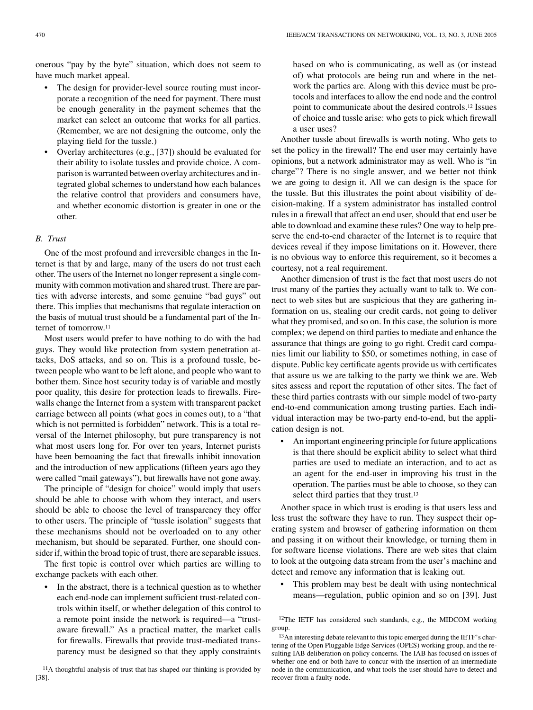onerous "pay by the byte" situation, which does not seem to have much market appeal.

- The design for provider-level source routing must incorporate a recognition of the need for payment. There must be enough generality in the payment schemes that the market can select an outcome that works for all parties. (Remember, we are not designing the outcome, only the playing field for the tussle.)
- Overlay architectures (e.g., [[37\]](#page-12-0)) should be evaluated for their ability to isolate tussles and provide choice. A comparison is warranted between overlay architectures and integrated global schemes to understand how each balances the relative control that providers and consumers have, and whether economic distortion is greater in one or the other.

### *B. Trust*

One of the most profound and irreversible changes in the Internet is that by and large, many of the users do not trust each other. The users of the Internet no longer represent a single community with common motivation and shared trust. There are parties with adverse interests, and some genuine "bad guys" out there. This implies that mechanisms that regulate interaction on the basis of mutual trust should be a fundamental part of the Internet of tomorrow.11

Most users would prefer to have nothing to do with the bad guys. They would like protection from system penetration attacks, DoS attacks, and so on. This is a profound tussle, between people who want to be left alone, and people who want to bother them. Since host security today is of variable and mostly poor quality, this desire for protection leads to firewalls. Firewalls change the Internet from a system with transparent packet carriage between all points (what goes in comes out), to a "that which is not permitted is forbidden" network. This is a total reversal of the Internet philosophy, but pure transparency is not what most users long for. For over ten years, Internet purists have been bemoaning the fact that firewalls inhibit innovation and the introduction of new applications (fifteen years ago they were called "mail gateways"), but firewalls have not gone away.

The principle of "design for choice" would imply that users should be able to choose with whom they interact, and users should be able to choose the level of transparency they offer to other users. The principle of "tussle isolation" suggests that these mechanisms should not be overloaded on to any other mechanism, but should be separated. Further, one should consider if, within the broad topic of trust, there are separable issues.

The first topic is control over which parties are willing to exchange packets with each other.

- In the abstract, there is a technical question as to whether each end-node can implement sufficient trust-related controls within itself, or whether delegation of this control to a remote point inside the network is required—a "trustaware firewall." As a practical matter, the market calls for firewalls. Firewalls that provide trust-mediated transparency must be designed so that they apply constraints
- 11A thoughtful analysis of trust that has shaped our thinking is provided by [\[38](#page-12-0)].

based on who is communicating, as well as (or instead of) what protocols are being run and where in the network the parties are. Along with this device must be protocols and interfaces to allow the end node and the control point to communicate about the desired controls.12 Issues of choice and tussle arise: who gets to pick which firewall a user uses?

Another tussle about firewalls is worth noting. Who gets to set the policy in the firewall? The end user may certainly have opinions, but a network administrator may as well. Who is "in charge"? There is no single answer, and we better not think we are going to design it. All we can design is the space for the tussle. But this illustrates the point about visibility of decision-making. If a system administrator has installed control rules in a firewall that affect an end user, should that end user be able to download and examine these rules? One way to help preserve the end-to-end character of the Internet is to require that devices reveal if they impose limitations on it. However, there is no obvious way to enforce this requirement, so it becomes a courtesy, not a real requirement.

Another dimension of trust is the fact that most users do not trust many of the parties they actually want to talk to. We connect to web sites but are suspicious that they are gathering information on us, stealing our credit cards, not going to deliver what they promised, and so on. In this case, the solution is more complex; we depend on third parties to mediate and enhance the assurance that things are going to go right. Credit card companies limit our liability to \$50, or sometimes nothing, in case of dispute. Public key certificate agents provide us with certificates that assure us we are talking to the party we think we are. Web sites assess and report the reputation of other sites. The fact of these third parties contrasts with our simple model of two-party end-to-end communication among trusting parties. Each individual interaction may be two-party end-to-end, but the application design is not.

• An important engineering principle for future applications is that there should be explicit ability to select what third parties are used to mediate an interaction, and to act as an agent for the end-user in improving his trust in the operation. The parties must be able to choose, so they can select third parties that they trust.13

Another space in which trust is eroding is that users less and less trust the software they have to run. They suspect their operating system and browser of gathering information on them and passing it on without their knowledge, or turning them in for software license violations. There are web sites that claim to look at the outgoing data stream from the user's machine and detect and remove any information that is leaking out.

• This problem may best be dealt with using nontechnical means—regulation, public opinion and so on [[39\]](#page-12-0). Just

<sup>12</sup>The IETF has considered such standards, e.g., the MIDCOM working group.

<sup>13</sup>An interesting debate relevant to this topic emerged during the IETF's chartering of the Open Pluggable Edge Services (OPES) working group, and the resulting IAB deliberation on policy concerns. The IAB has focused on issues of whether one end or both have to concur with the insertion of an intermediate node in the communication, and what tools the user should have to detect and recover from a faulty node.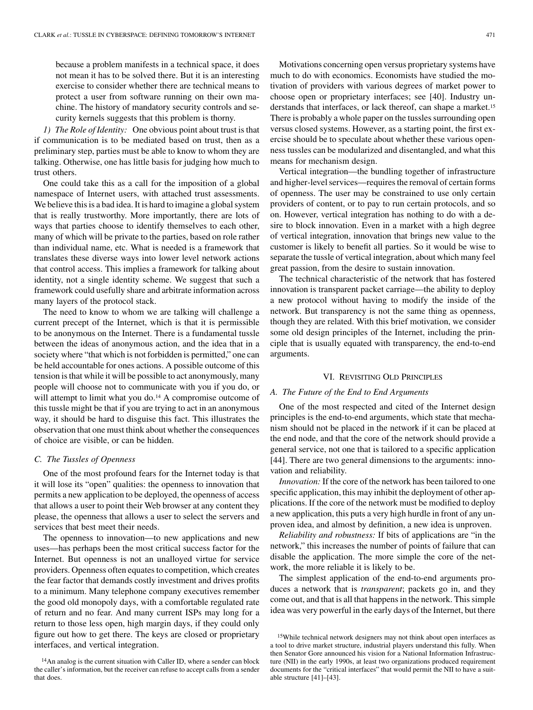because a problem manifests in a technical space, it does not mean it has to be solved there. But it is an interesting exercise to consider whether there are technical means to protect a user from software running on their own machine. The history of mandatory security controls and security kernels suggests that this problem is thorny.

*1) The Role of Identity:* One obvious point about trust is that if communication is to be mediated based on trust, then as a preliminary step, parties must be able to know to whom they are talking. Otherwise, one has little basis for judging how much to trust others.

One could take this as a call for the imposition of a global namespace of Internet users, with attached trust assessments. We believe this is a bad idea. It is hard to imagine a global system that is really trustworthy. More importantly, there are lots of ways that parties choose to identify themselves to each other, many of which will be private to the parties, based on role rather than individual name, etc. What is needed is a framework that translates these diverse ways into lower level network actions that control access. This implies a framework for talking about identity, not a single identity scheme. We suggest that such a framework could usefully share and arbitrate information across many layers of the protocol stack.

The need to know to whom we are talking will challenge a current precept of the Internet, which is that it is permissible to be anonymous on the Internet. There is a fundamental tussle between the ideas of anonymous action, and the idea that in a society where "that which is not forbidden is permitted," one can be held accountable for ones actions. A possible outcome of this tension is that while it will be possible to act anonymously, many people will choose not to communicate with you if you do, or will attempt to limit what you do.<sup>14</sup> A compromise outcome of this tussle might be that if you are trying to act in an anonymous way, it should be hard to disguise this fact. This illustrates the observation that one must think about whether the consequences of choice are visible, or can be hidden.

# *C. The Tussles of Openness*

One of the most profound fears for the Internet today is that it will lose its "open" qualities: the openness to innovation that permits a new application to be deployed, the openness of access that allows a user to point their Web browser at any content they please, the openness that allows a user to select the servers and services that best meet their needs.

The openness to innovation—to new applications and new uses—has perhaps been the most critical success factor for the Internet. But openness is not an unalloyed virtue for service providers. Openness often equates to competition, which creates the fear factor that demands costly investment and drives profits to a minimum. Many telephone company executives remember the good old monopoly days, with a comfortable regulated rate of return and no fear. And many current ISPs may long for a return to those less open, high margin days, if they could only figure out how to get there. The keys are closed or proprietary interfaces, and vertical integration.

Motivations concerning open versus proprietary systems have much to do with economics. Economists have studied the motivation of providers with various degrees of market power to choose open or proprietary interfaces; see [[40\]](#page-12-0). Industry understands that interfaces, or lack thereof, can shape a market.15 There is probably a whole paper on the tussles surrounding open versus closed systems. However, as a starting point, the first exercise should be to speculate about whether these various openness tussles can be modularized and disentangled, and what this means for mechanism design.

Vertical integration—the bundling together of infrastructure and higher-level services—requires the removal of certain forms of openness. The user may be constrained to use only certain providers of content, or to pay to run certain protocols, and so on. However, vertical integration has nothing to do with a desire to block innovation. Even in a market with a high degree of vertical integration, innovation that brings new value to the customer is likely to benefit all parties. So it would be wise to separate the tussle of vertical integration, about which many feel great passion, from the desire to sustain innovation.

The technical characteristic of the network that has fostered innovation is transparent packet carriage—the ability to deploy a new protocol without having to modify the inside of the network. But transparency is not the same thing as openness, though they are related. With this brief motivation, we consider some old design principles of the Internet, including the principle that is usually equated with transparency, the end-to-end arguments.

## VI. REVISITING OLD PRINCIPLES

## *A. The Future of the End to End Arguments*

One of the most respected and cited of the Internet design principles is the end-to-end arguments, which state that mechanism should not be placed in the network if it can be placed at the end node, and that the core of the network should provide a general service, not one that is tailored to a specific application [\[44](#page-12-0)]. There are two general dimensions to the arguments: innovation and reliability.

*Innovation:* If the core of the network has been tailored to one specific application, this may inhibit the deployment of other applications. If the core of the network must be modified to deploy a new application, this puts a very high hurdle in front of any unproven idea, and almost by definition, a new idea is unproven.

*Reliability and robustness:* If bits of applications are "in the network," this increases the number of points of failure that can disable the application. The more simple the core of the network, the more reliable it is likely to be.

The simplest application of the end-to-end arguments produces a network that is *transparent*; packets go in, and they come out, and that is all that happens in the network. This simple idea was very powerful in the early days of the Internet, but there

<sup>14</sup>An analog is the current situation with Caller ID, where a sender can block the caller's information, but the receiver can refuse to accept calls from a sender that does.

<sup>15</sup>While technical network designers may not think about open interfaces as a tool to drive market structure, industrial players understand this fully. When then Senator Gore announced his vision for a National Information Infrastructure (NII) in the early 1990s, at least two organizations produced requirement documents for the "critical interfaces" that would permit the NII to have a suitable structure [[41\]](#page-12-0)–[[43\]](#page-12-0).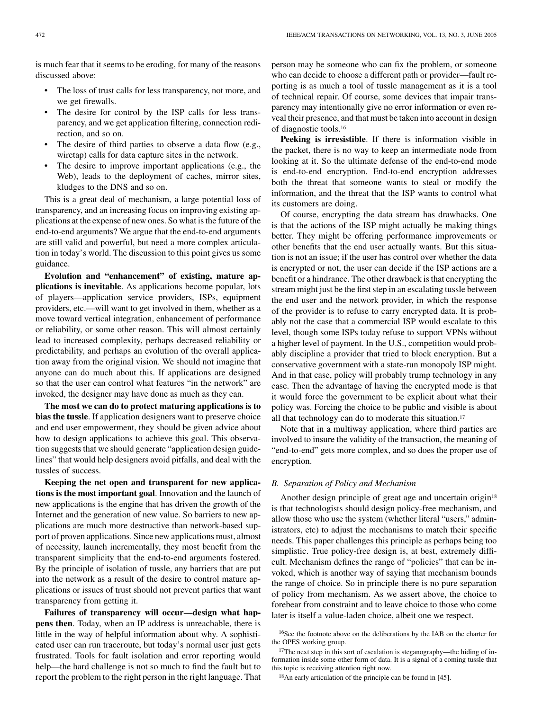is much fear that it seems to be eroding, for many of the reasons discussed above:

- The loss of trust calls for less transparency, not more, and we get firewalls.
- The desire for control by the ISP calls for less transparency, and we get application filtering, connection redirection, and so on.
- The desire of third parties to observe a data flow (e.g., wiretap) calls for data capture sites in the network.
- The desire to improve important applications (e.g., the Web), leads to the deployment of caches, mirror sites, kludges to the DNS and so on.

This is a great deal of mechanism, a large potential loss of transparency, and an increasing focus on improving existing applications at the expense of new ones. So what is the future of the end-to-end arguments? We argue that the end-to-end arguments are still valid and powerful, but need a more complex articulation in today's world. The discussion to this point gives us some guidance.

**Evolution and "enhancement" of existing, mature applications is inevitable**. As applications become popular, lots of players—application service providers, ISPs, equipment providers, etc.—will want to get involved in them, whether as a move toward vertical integration, enhancement of performance or reliability, or some other reason. This will almost certainly lead to increased complexity, perhaps decreased reliability or predictability, and perhaps an evolution of the overall application away from the original vision. We should not imagine that anyone can do much about this. If applications are designed so that the user can control what features "in the network" are invoked, the designer may have done as much as they can.

**The most we can do to protect maturing applications is to bias the tussle**. If application designers want to preserve choice and end user empowerment, they should be given advice about how to design applications to achieve this goal. This observation suggests that we should generate "application design guidelines" that would help designers avoid pitfalls, and deal with the tussles of success.

**Keeping the net open and transparent for new applications is the most important goal**. Innovation and the launch of new applications is the engine that has driven the growth of the Internet and the generation of new value. So barriers to new applications are much more destructive than network-based support of proven applications. Since new applications must, almost of necessity, launch incrementally, they most benefit from the transparent simplicity that the end-to-end arguments fostered. By the principle of isolation of tussle, any barriers that are put into the network as a result of the desire to control mature applications or issues of trust should not prevent parties that want transparency from getting it.

**Failures of transparency will occur—design what happens then**. Today, when an IP address is unreachable, there is little in the way of helpful information about why. A sophisticated user can run traceroute, but today's normal user just gets frustrated. Tools for fault isolation and error reporting would help—the hard challenge is not so much to find the fault but to report the problem to the right person in the right language. That person may be someone who can fix the problem, or someone who can decide to choose a different path or provider—fault reporting is as much a tool of tussle management as it is a tool of technical repair. Of course, some devices that impair transparency may intentionally give no error information or even reveal their presence, and that must be taken into account in design of diagnostic tools.16

**Peeking is irresistible**. If there is information visible in the packet, there is no way to keep an intermediate node from looking at it. So the ultimate defense of the end-to-end mode is end-to-end encryption. End-to-end encryption addresses both the threat that someone wants to steal or modify the information, and the threat that the ISP wants to control what its customers are doing.

Of course, encrypting the data stream has drawbacks. One is that the actions of the ISP might actually be making things better. They might be offering performance improvements or other benefits that the end user actually wants. But this situation is not an issue; if the user has control over whether the data is encrypted or not, the user can decide if the ISP actions are a benefit or a hindrance. The other drawback is that encrypting the stream might just be the first step in an escalating tussle between the end user and the network provider, in which the response of the provider is to refuse to carry encrypted data. It is probably not the case that a commercial ISP would escalate to this level, though some ISPs today refuse to support VPNs without a higher level of payment. In the U.S., competition would probably discipline a provider that tried to block encryption. But a conservative government with a state-run monopoly ISP might. And in that case, policy will probably trump technology in any case. Then the advantage of having the encrypted mode is that it would force the government to be explicit about what their policy was. Forcing the choice to be public and visible is about all that technology can do to moderate this situation.17

Note that in a multiway application, where third parties are involved to insure the validity of the transaction, the meaning of "end-to-end" gets more complex, and so does the proper use of encryption.

# *B. Separation of Policy and Mechanism*

Another design principle of great age and uncertain origin<sup>18</sup> is that technologists should design policy-free mechanism, and allow those who use the system (whether literal "users," administrators, etc) to adjust the mechanisms to match their specific needs. This paper challenges this principle as perhaps being too simplistic. True policy-free design is, at best, extremely difficult. Mechanism defines the range of "policies" that can be invoked, which is another way of saying that mechanism bounds the range of choice. So in principle there is no pure separation of policy from mechanism. As we assert above, the choice to forebear from constraint and to leave choice to those who come later is itself a value-laden choice, albeit one we respect.

<sup>16</sup>See the footnote above on the deliberations by the IAB on the charter for the OPES working group.

<sup>17</sup>The next step in this sort of escalation is steganography—the hiding of information inside some other form of data. It is a signal of a coming tussle that this topic is receiving attention right now.

<sup>18</sup>An early articulation of the principle can be found in [\[45](#page-12-0)].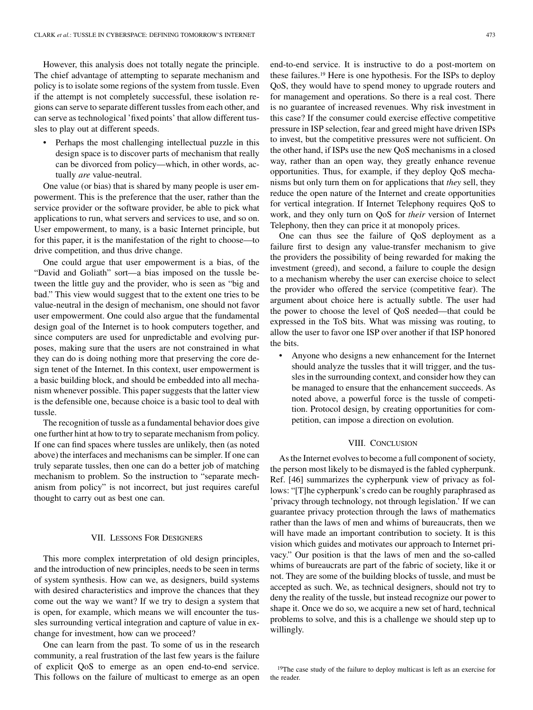However, this analysis does not totally negate the principle. The chief advantage of attempting to separate mechanism and policy is to isolate some regions of the system from tussle. Even if the attempt is not completely successful, these isolation regions can serve to separate different tussles from each other, and can serve as technological 'fixed points' that allow different tussles to play out at different speeds.

Perhaps the most challenging intellectual puzzle in this design space is to discover parts of mechanism that really can be divorced from policy—which, in other words, actually *are* value-neutral.

One value (or bias) that is shared by many people is user empowerment. This is the preference that the user, rather than the service provider or the software provider, be able to pick what applications to run, what servers and services to use, and so on. User empowerment, to many, is a basic Internet principle, but for this paper, it is the manifestation of the right to choose—to drive competition, and thus drive change.

One could argue that user empowerment is a bias, of the "David and Goliath" sort—a bias imposed on the tussle between the little guy and the provider, who is seen as "big and bad." This view would suggest that to the extent one tries to be value-neutral in the design of mechanism, one should not favor user empowerment. One could also argue that the fundamental design goal of the Internet is to hook computers together, and since computers are used for unpredictable and evolving purposes, making sure that the users are not constrained in what they can do is doing nothing more that preserving the core design tenet of the Internet. In this context, user empowerment is a basic building block, and should be embedded into all mechanism whenever possible. This paper suggests that the latter view is the defensible one, because choice is a basic tool to deal with tussle.

The recognition of tussle as a fundamental behavior does give one further hint at how to try to separate mechanism from policy. If one can find spaces where tussles are unlikely, then (as noted above) the interfaces and mechanisms can be simpler. If one can truly separate tussles, then one can do a better job of matching mechanism to problem. So the instruction to "separate mechanism from policy" is not incorrect, but just requires careful thought to carry out as best one can.

## VII. LESSONS FOR DESIGNERS

This more complex interpretation of old design principles, and the introduction of new principles, needs to be seen in terms of system synthesis. How can we, as designers, build systems with desired characteristics and improve the chances that they come out the way we want? If we try to design a system that is open, for example, which means we will encounter the tussles surrounding vertical integration and capture of value in exchange for investment, how can we proceed?

One can learn from the past. To some of us in the research community, a real frustration of the last few years is the failure of explicit QoS to emerge as an open end-to-end service. This follows on the failure of multicast to emerge as an open end-to-end service. It is instructive to do a post-mortem on these failures.19 Here is one hypothesis. For the ISPs to deploy QoS, they would have to spend money to upgrade routers and for management and operations. So there is a real cost. There is no guarantee of increased revenues. Why risk investment in this case? If the consumer could exercise effective competitive pressure in ISP selection, fear and greed might have driven ISPs to invest, but the competitive pressures were not sufficient. On the other hand, if ISPs use the new QoS mechanisms in a closed way, rather than an open way, they greatly enhance revenue opportunities. Thus, for example, if they deploy QoS mechanisms but only turn them on for applications that *they* sell, they reduce the open nature of the Internet and create opportunities for vertical integration. If Internet Telephony requires QoS to work, and they only turn on QoS for *their* version of Internet Telephony, then they can price it at monopoly prices.

One can thus see the failure of QoS deployment as a failure first to design any value-transfer mechanism to give the providers the possibility of being rewarded for making the investment (greed), and second, a failure to couple the design to a mechanism whereby the user can exercise choice to select the provider who offered the service (competitive fear). The argument about choice here is actually subtle. The user had the power to choose the level of QoS needed—that could be expressed in the ToS bits. What was missing was routing, to allow the user to favor one ISP over another if that ISP honored the bits.

• Anyone who designs a new enhancement for the Internet should analyze the tussles that it will trigger, and the tussles in the surrounding context, and consider how they can be managed to ensure that the enhancement succeeds. As noted above, a powerful force is the tussle of competition. Protocol design, by creating opportunities for competition, can impose a direction on evolution.

## VIII. CONCLUSION

As the Internet evolves to become a full component of society, the person most likely to be dismayed is the fabled cypherpunk. Ref. [[46\]](#page-12-0) summarizes the cypherpunk view of privacy as follows: "[T]he cypherpunk's credo can be roughly paraphrased as 'privacy through technology, not through legislation.' If we can guarantee privacy protection through the laws of mathematics rather than the laws of men and whims of bureaucrats, then we will have made an important contribution to society. It is this vision which guides and motivates our approach to Internet privacy." Our position is that the laws of men and the so-called whims of bureaucrats are part of the fabric of society, like it or not. They are some of the building blocks of tussle, and must be accepted as such. We, as technical designers, should not try to deny the reality of the tussle, but instead recognize our power to shape it. Once we do so, we acquire a new set of hard, technical problems to solve, and this is a challenge we should step up to willingly.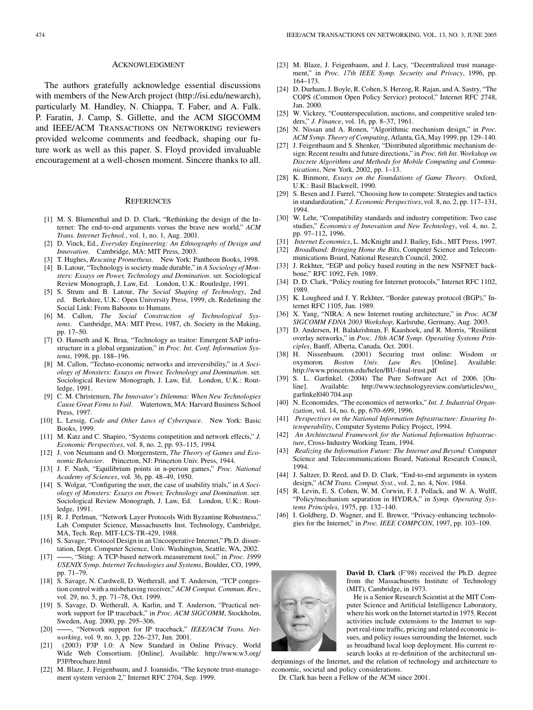#### ACKNOWLEDGMENT

<span id="page-12-0"></span>The authors gratefully acknowledge essential discussions with members of the NewArch project (http://isi.edu/newarch), particularly M. Handley, N. Chiappa, T. Faber, and A. Falk. P. Faratin, J. Camp, S. Gillette, and the ACM SIGCOMM and IEEE/ACM TRANSACTIONS ON NETWORKING reviewers provided welcome comments and feedback, shaping our future work as well as this paper. S. Floyd provided invaluable encouragement at a well-chosen moment. Sincere thanks to all.

#### **REFERENCES**

- [1] M. S. Blumenthal and D. D. Clark, "Rethinking the design of the Internet: The end-to-end arguments versus the brave new world," *ACM Trans. Internet Technol.*, vol. 1, no. 1, Aug. 2001.
- [2] D. Vinck, Ed., *Everyday Engineering: An Ethnography of Design and Innovation*. Cambridge, MA: MIT Press, 2003.
- [3] T. Hughes, *Rescuing Prometheus*. New York: Pantheon Books, 1998.
- [4] B. Latour, "Technology is society made durable," in *A Sociology of Monsters: Essays on Power, Technology and Domination*. ser. Sociological Review Monograph, J. Law, Ed. London, U.K.: Routledge, 1991.
- [5] S. Strum and B. Latour, *The Social Shaping of Technology*, 2nd ed. Berkshire, U.K.: Open University Press, 1999, ch. Redefining the Social Link: From Baboons to Humans.
- [6] M. Callon, *The Social Construction of Technological Systems*. Cambridge, MA: MIT Press, 1987, ch. Society in the Making, pp. 17–50.
- [7] O. Hanseth and K. Braa, "Technology as traitor: Emergent SAP infrastructure in a global organization," in *Proc. Int. Conf. Information Systems*, 1998, pp. 188–196.
- [8] M. Callon, "Techno-economic networks and irreversibility," in *A Sociology of Monsters: Essays on Power, Technology and Domination*. ser. Sociological Review Monograph, J. Law, Ed. London, U.K.: Routledge, 1991.
- [9] C. M. Christensen, *The Innovator's Dilemma: When New Technologies Cause Great Firms to Fail*. Watertown, MA: Harvard Business School Press, 1997.
- [10] L. Lessig, *Code and Other Laws of Cyberspace*. New York: Basic Books, 1999.
- [11] M. Katz and C. Shapiro, "Systems competition and network effects," *J. Economic Perspectives*, vol. 8, no. 2, pp. 93–115, 1994.
- [12] J. von Neumann and O. Morgernstern, *The Theory of Games and Economic Behavior*. Princeton, NJ: Princeton Univ. Press, 1944.
- [13] J. F. Nash, "Equilibrium points in n-person games," *Proc. National Academy of Sciences*, vol. 36, pp. 48–49, 1950.
- [14] S. Wolgar, "Configuring the user, the case of usability trials," in *A Sociology of Monsters: Essays on Power, Technology and Domination*. ser. Sociological Review Monograph, J. Law, Ed. London, U.K.: Routledge, 1991.
- [15] R. J. Perlman, "Network Layer Protocols With Byzantine Robustness," Lab. Computer Science, Massachusetts Inst. Technology, Cambridge, MA, Tech. Rep. MIT-LCS-TR-429, 1988.
- [16] S. Savage, "Protocol Design in an Uncooperative Internet," Ph.D. dissertation, Dept. Computer Science, Univ. Washington, Seattle, WA, 2002.
- [17]  $\longrightarrow$ , "Sting: A TCP-based network measurement tool," in *Proc. 1999 USENIX Symp. Internet Technologies and Systems*, Boulder, CO, 1999, pp. 71–79.
- [18] S. Savage, N. Cardwell, D. Wetherall, and T. Anderson, "TCP congestion control with a misbehaving receiver," *ACM Comput. Commun. Rev.*, vol. 29, no. 5, pp. 71–78, Oct. 1999.
- [19] S. Savage, D. Wetherall, A. Karlin, and T. Anderson, "Practical network support for IP traceback," in *Proc. ACM SIGCOMM*, Stockholm, Sweden, Aug. 2000, pp. 295–306.
- [20] -, "Network support for IP traceback," IEEE/ACM Trans. Net*working*, vol. 9, no. 3, pp. 226–237, Jun. 2001.
- [21] (2003) P3P 1.0: A New Standard in Online Privacy. World Wide Web Consortium. [Online]. Available: http://www.w3.org/ P3P/brochure.html
- [22] M. Blaze, J. Feigenbaum, and J. Ioannidis, "The keynote trust-management system version 2," Internet RFC 2704, Sep. 1999.
- [23] M. Blaze, J. Feigenbaum, and J. Lacy, "Decentralized trust management," in *Proc. 17th IEEE Symp. Security and Privacy*, 1996, pp. 164–173.
- [24] D. Durham, J. Boyle, R. Cohen, S. Herzog, R. Rajan, and A. Sastry, "The COPS (Common Open Policy Service) protocol," Internet RFC 2748, Jan. 2000.
- [25] W. Vickrey, "Counterspeculation, auctions, and competitive sealed tenders," *J. Finance*, vol. 16, pp. 8–37, 1961.
- [26] N. Nissan and A. Ronen, "Algorithmic mechanism design," in *Proc. ACM Symp. Theory of Computing*, Atlanta, GA, May 1999, pp. 129–140.
- [27] J. Feigenbaum and S. Shenker, "Distributed algorithmic mechanism design: Recent results and future directions," in *Proc. 6th Int. Workshop on Discrete Algorithms and Methods for Mobile Computing and Communications*, New York, 2002, pp. 1–13.
- [28] K. Binmore, *Essays on the Foundations of Game Theory*. Oxford, U.K.: Basil Blackwell, 1990.
- [29] S. Besen and J. Farrel, "Choosing how to compete: Strategies and tactics in standardization," *J. Economic Perspectives*, vol. 8, no. 2, pp. 117–131, 1994.
- [30] W. Lehr, "Compatibility standards and industry competition: Two case studies," *Economics of Innovation and New Technology*, vol. 4, no. 2, pp. 97–112, 1996.
- [31] *Internet Economics*, L. McKnight and J. Bailey, Eds., MIT Press, 1997. [32] *Broadband: Bringing Home the Bits*, Computer Science and Telecom-
- munications Board, National Research Council, 2002.
- [33] J. Rekhter, "EGP and policy based routing in the new NSFNET backbone," RFC 1092, Feb. 1989.
- [34] D. D. Clark, "Policy routing for Internet protocols," Internet RFC 1102, 1989.
- [35] K. Lougheed and J. Y. Rekhter, "Border gateway protocol (BGP)," Internet RFC 1105, Jun. 1989.
- [36] X. Yang, "NIRA: A new Internet routing architecture," in *Proc. ACM SIGCOMM FDNA 2003 Workshop*, Karlsruhe, Germany, Aug. 2003.
- [37] D. Andersen, H. Balakrishnan, F. Kaashoek, and R. Morris, "Resilient overlay networks," in *Proc. 18th ACM Symp. Operating Systems Principles*, Banff, Alberta, Canada, Oct. 2001.
- [38] H. Nissenbaum. (2001) Securing trust online: Wisdom or oxymoron*. Boston Univ. Law Rev.* [Online]. Available: http://www.princeton.edu/helen/BU-final-trust.pdf
- [39] S. L. Garfinkel. (2004) The Pure Software Act of 2006. [Online]. Available: http://www.technologyreview.com/articles/wo\_ garfinkel040 704.asp
- [40] N. Economides, "The economics of networks," *Int. J. Industrial Organization*, vol. 14, no. 6, pp. 670–699, 1996.
- [41] *Perspectives on the National Information Infrastructure: Ensuring Interoperability*, Computer Systems Policy Project, 1994.
- [42] *An Architectural Framework for the National Information Infrastructure*, Cross-Industry Working Team, 1994.
- [43] *Realizing the Information Future: The Internet and Beyond*: Computer Science and Telecommunications Board, National Research Council, 1994.
- [44] J. Saltzer, D. Reed, and D. D. Clark, "End-to-end arguments in system design," *ACM Trans. Comput. Syst.*, vol. 2, no. 4, Nov. 1984.
- [45] R. Levin, E. S. Cohen, W. M. Corwin, F. J. Pollack, and W. A. Wulff, "Policy/mechanism separation in HYDRA," in *Symp. Operating Systems Principles*, 1975, pp. 132–140.
- [46] I. Goldberg, D. Wagner, and E. Brewer, "Privacy-enhancing technologies for the Internet," in *Proc. IEEE COMPCON*, 1997, pp. 103–109.



**David D. Clark** (F'98) received the Ph.D. degree from the Massachusetts Institute of Technology (MIT), Cambridge, in 1973.

He is a Senior Research Scientist at the MIT Computer Science and Artificial Intelligence Laboratory, where his work on the Internet started in 1975. Recent activities include extensions to the Internet to support real-time traffic, pricing and related economic issues, and policy issues surrounding the Internet, such as broadband local loop deployment. His current research looks at re-definition of the architectural un-

derpinnings of the Internet, and the relation of technology and architecture to economic, societal and policy considerations.

Dr. Clark has been a Fellow of the ACM since 2001.